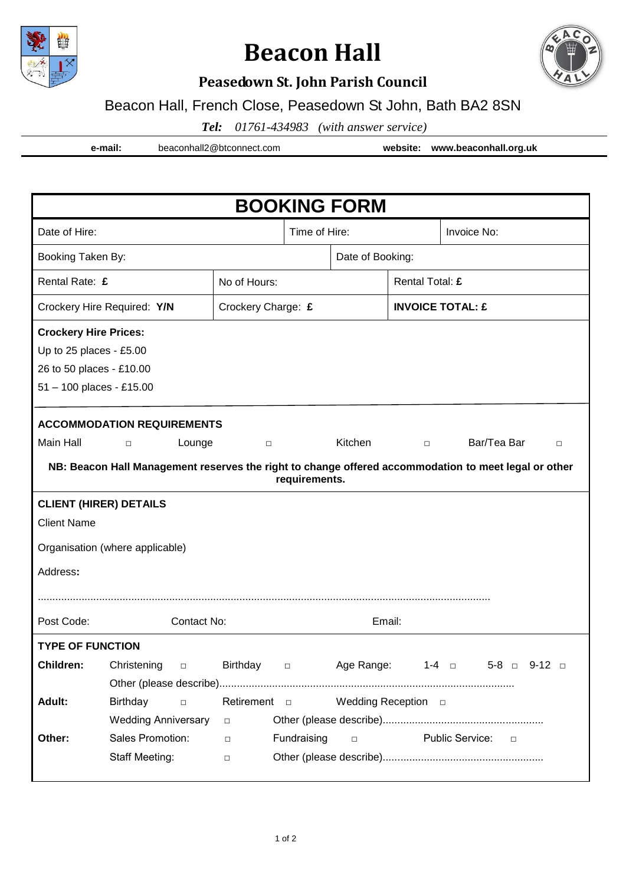

# **Beacon Hall**



### **Peasedown St. John Parish Council**

#### Beacon Hall, French Close, Peasedown St John, Bath BA2 8SN

*Tel: 01761-434983 (with answer service)*

**e-mail:** beaconhall2@btconnect.com **website: www.beaconhall.org.uk**

| <b>BOOKING FORM</b>                                                                                  |                            |                     |                  |            |                         |                           |                                |  |  |  |
|------------------------------------------------------------------------------------------------------|----------------------------|---------------------|------------------|------------|-------------------------|---------------------------|--------------------------------|--|--|--|
| Date of Hire:                                                                                        |                            |                     | Time of Hire:    |            |                         | Invoice No:               |                                |  |  |  |
| Booking Taken By:                                                                                    |                            |                     | Date of Booking: |            |                         |                           |                                |  |  |  |
| Rental Rate: £                                                                                       |                            | No of Hours:        |                  |            | Rental Total: £         |                           |                                |  |  |  |
| Crockery Hire Required: Y/N                                                                          |                            | Crockery Charge: £  |                  |            | <b>INVOICE TOTAL: £</b> |                           |                                |  |  |  |
| <b>Crockery Hire Prices:</b>                                                                         |                            |                     |                  |            |                         |                           |                                |  |  |  |
| Up to 25 places - £5.00                                                                              |                            |                     |                  |            |                         |                           |                                |  |  |  |
| 26 to 50 places - £10.00                                                                             |                            |                     |                  |            |                         |                           |                                |  |  |  |
| 51 - 100 places - £15.00                                                                             |                            |                     |                  |            |                         |                           |                                |  |  |  |
|                                                                                                      |                            |                     |                  |            |                         |                           |                                |  |  |  |
| <b>ACCOMMODATION REQUIREMENTS</b>                                                                    |                            |                     |                  |            |                         |                           |                                |  |  |  |
| Main Hall                                                                                            | Lounge<br>$\Box$           | $\Box$              |                  | Kitchen    | $\Box$                  | Bar/Tea Bar               | $\Box$                         |  |  |  |
| NB: Beacon Hall Management reserves the right to change offered accommodation to meet legal or other |                            |                     |                  |            |                         |                           |                                |  |  |  |
| requirements.                                                                                        |                            |                     |                  |            |                         |                           |                                |  |  |  |
| <b>CLIENT (HIRER) DETAILS</b>                                                                        |                            |                     |                  |            |                         |                           |                                |  |  |  |
| <b>Client Name</b>                                                                                   |                            |                     |                  |            |                         |                           |                                |  |  |  |
| Organisation (where applicable)                                                                      |                            |                     |                  |            |                         |                           |                                |  |  |  |
| Address:                                                                                             |                            |                     |                  |            |                         |                           |                                |  |  |  |
|                                                                                                      |                            |                     |                  |            |                         |                           |                                |  |  |  |
| Post Code:                                                                                           | Contact No:                |                     |                  | Email:     |                         |                           |                                |  |  |  |
| <b>TYPE OF FUNCTION</b>                                                                              |                            |                     |                  |            |                         |                           |                                |  |  |  |
| <b>Children:</b>                                                                                     | Christening<br>$\Box$      | Birthday            | $\Box$           | Age Range: |                         | $1-4$ m                   | $5 - 8$ $\Box$ $9 - 12$ $\Box$ |  |  |  |
|                                                                                                      |                            |                     |                  |            |                         |                           |                                |  |  |  |
| Adult:                                                                                               | <b>Birthday</b><br>$\Box$  | Retirement <b>D</b> |                  |            |                         |                           |                                |  |  |  |
|                                                                                                      | <b>Wedding Anniversary</b> | $\Box$              |                  |            |                         |                           |                                |  |  |  |
| Other:                                                                                               | Sales Promotion:           | $\Box$              | Fundraising      | $\Box$     |                         | Public Service:<br>$\Box$ |                                |  |  |  |
|                                                                                                      | Staff Meeting:             | $\Box$              |                  |            |                         |                           |                                |  |  |  |
|                                                                                                      |                            |                     |                  |            |                         |                           |                                |  |  |  |